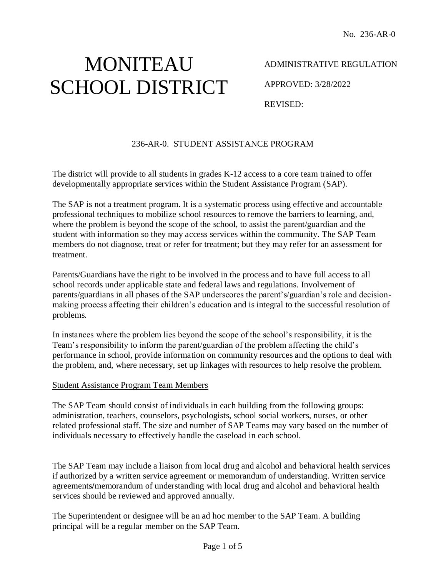# MONITEAU SCHOOL DISTRICT

ADMINISTRATIVE REGULATION

APPROVED: 3/28/2022

REVISED:

## 236-AR-0. STUDENT ASSISTANCE PROGRAM

The district will provide to all students in grades K-12 access to a core team trained to offer developmentally appropriate services within the Student Assistance Program (SAP).

The SAP is not a treatment program. It is a systematic process using effective and accountable professional techniques to mobilize school resources to remove the barriers to learning, and, where the problem is beyond the scope of the school, to assist the parent/guardian and the student with information so they may access services within the community. The SAP Team members do not diagnose, treat or refer for treatment; but they may refer for an assessment for treatment.

Parents/Guardians have the right to be involved in the process and to have full access to all school records under applicable state and federal laws and regulations. Involvement of parents/guardians in all phases of the SAP underscores the parent's/guardian's role and decisionmaking process affecting their children's education and is integral to the successful resolution of problems.

In instances where the problem lies beyond the scope of the school's responsibility, it is the Team's responsibility to inform the parent/guardian of the problem affecting the child's performance in school, provide information on community resources and the options to deal with the problem, and, where necessary, set up linkages with resources to help resolve the problem.

#### Student Assistance Program Team Members

The SAP Team should consist of individuals in each building from the following groups: administration, teachers, counselors, psychologists, school social workers, nurses, or other related professional staff. The size and number of SAP Teams may vary based on the number of individuals necessary to effectively handle the caseload in each school.

The SAP Team may include a liaison from local drug and alcohol and behavioral health services if authorized by a written service agreement or memorandum of understanding. Written service agreements**/**memorandum of understanding with local drug and alcohol and behavioral health services should be reviewed and approved annually.

The Superintendent or designee will be an ad hoc member to the SAP Team. A building principal will be a regular member on the SAP Team.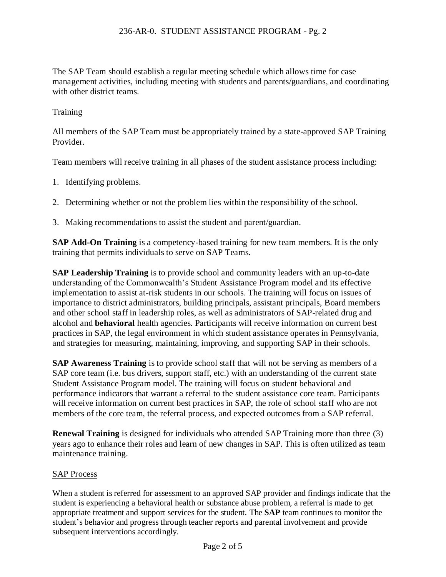The SAP Team should establish a regular meeting schedule which allows time for case management activities, including meeting with students and parents/guardians, and coordinating with other district teams.

## **Training**

All members of the SAP Team must be appropriately trained by a state-approved SAP Training Provider.

Team members will receive training in all phases of the student assistance process including:

- 1. Identifying problems.
- 2. Determining whether or not the problem lies within the responsibility of the school.
- 3. Making recommendations to assist the student and parent/guardian.

**SAP Add-On Training** is a competency-based training for new team members. It is the only training that permits individuals to serve on SAP Teams.

**SAP Leadership Training** is to provide school and community leaders with an up-to-date understanding of the Commonwealth's Student Assistance Program model and its effective implementation to assist at-risk students in our schools. The training will focus on issues of importance to district administrators, building principals, assistant principals, Board members and other school staff in leadership roles, as well as administrators of SAP-related drug and alcohol and **behavioral** health agencies. Participants will receive information on current best practices in SAP, the legal environment in which student assistance operates in Pennsylvania, and strategies for measuring, maintaining, improving, and supporting SAP in their schools.

**SAP Awareness Training** is to provide school staff that will not be serving as members of a SAP core team (i.e. bus drivers, support staff, etc.) with an understanding of the current state Student Assistance Program model. The training will focus on student behavioral and performance indicators that warrant a referral to the student assistance core team. Participants will receive information on current best practices in SAP, the role of school staff who are not members of the core team, the referral process, and expected outcomes from a SAP referral.

**Renewal Training** is designed for individuals who attended SAP Training more than three (3) years ago to enhance their roles and learn of new changes in SAP. This is often utilized as team maintenance training.

### SAP Process

When a student is referred for assessment to an approved SAP provider and findings indicate that the student is experiencing a behavioral health or substance abuse problem, a referral is made to get appropriate treatment and support services for the student. The **SAP** team continues to monitor the student's behavior and progress through teacher reports and parental involvement and provide subsequent interventions accordingly.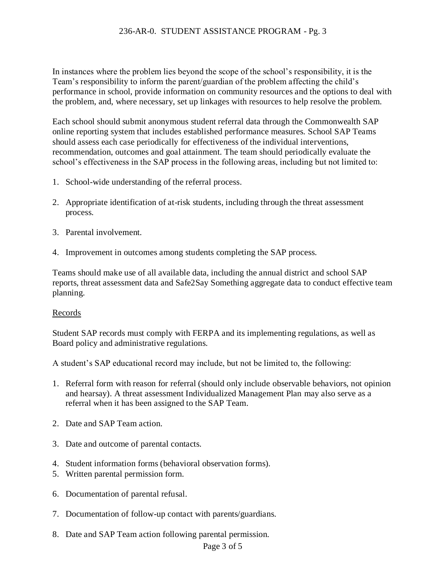## 236-AR-0. STUDENT ASSISTANCE PROGRAM - Pg. 3

In instances where the problem lies beyond the scope of the school's responsibility, it is the Team's responsibility to inform the parent/guardian of the problem affecting the child's performance in school, provide information on community resources and the options to deal with the problem, and, where necessary, set up linkages with resources to help resolve the problem.

Each school should submit anonymous student referral data through the Commonwealth SAP online reporting system that includes established performance measures. School SAP Teams should assess each case periodically for effectiveness of the individual interventions, recommendation, outcomes and goal attainment. The team should periodically evaluate the school's effectiveness in the SAP process in the following areas, including but not limited to:

- 1. School-wide understanding of the referral process.
- 2. Appropriate identification of at-risk students, including through the threat assessment process.
- 3. Parental involvement.
- 4. Improvement in outcomes among students completing the SAP process.

Teams should make use of all available data, including the annual district and school SAP reports, threat assessment data and Safe2Say Something aggregate data to conduct effective team planning.

### Records

Student SAP records must comply with FERPA and its implementing regulations, as well as Board policy and administrative regulations.

A student's SAP educational record may include, but not be limited to, the following:

- 1. Referral form with reason for referral (should only include observable behaviors, not opinion and hearsay). A threat assessment Individualized Management Plan may also serve as a referral when it has been assigned to the SAP Team.
- 2. Date and SAP Team action.
- 3. Date and outcome of parental contacts.
- 4. Student information forms (behavioral observation forms).
- 5. Written parental permission form.
- 6. Documentation of parental refusal.
- 7. Documentation of follow-up contact with parents/guardians.
- 8. Date and SAP Team action following parental permission.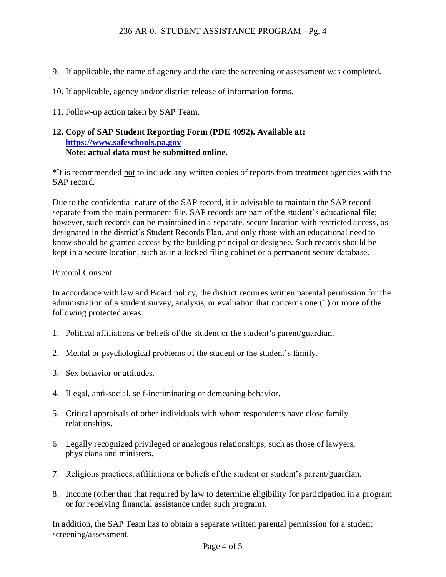- 9. If applicable, the name of agency and the date the screening or assessment was completed.
- 10. If applicable, agency and/or district release of information forms.
- 11. Follow-up action taken by SAP Team.

## **12. Copy of SAP Student Reporting Form (PDE 4092). Available at: [https://www.safeschools.pa.gov](https://www.safeschools.pa.gov/) Note: actual data must be submitted online.**

\*It is recommended not to include any written copies of reports from treatment agencies with the SAP record.

Due to the confidential nature of the SAP record, it is advisable to maintain the SAP record separate from the main permanent file. SAP records are part of the student's educational file; however, such records can be maintained in a separate, secure location with restricted access, as designated in the district's Student Records Plan, and only those with an educational need to know should be granted access by the building principal or designee. Such records should be kept in a secure location, such as in a locked filing cabinet or a permanent secure database.

### Parental Consent

In accordance with law and Board policy, the district requires written parental permission for the administration of a student survey, analysis, or evaluation that concerns one (1) or more of the following protected areas:

- 1. Political affiliations or beliefs of the student or the student's parent/guardian.
- 2. Mental or psychological problems of the student or the student's family.
- 3. Sex behavior or attitudes.
- 4. Illegal, anti-social, self-incriminating or demeaning behavior.
- 5. Critical appraisals of other individuals with whom respondents have close family relationships.
- 6. Legally recognized privileged or analogous relationships, such as those of lawyers, physicians and ministers.
- 7. Religious practices, affiliations or beliefs of the student or student's parent/guardian.
- 8. Income (other than that required by law to determine eligibility for participation in a program or for receiving financial assistance under such program).

In addition, the SAP Team has to obtain a separate written parental permission for a student screening/assessment.